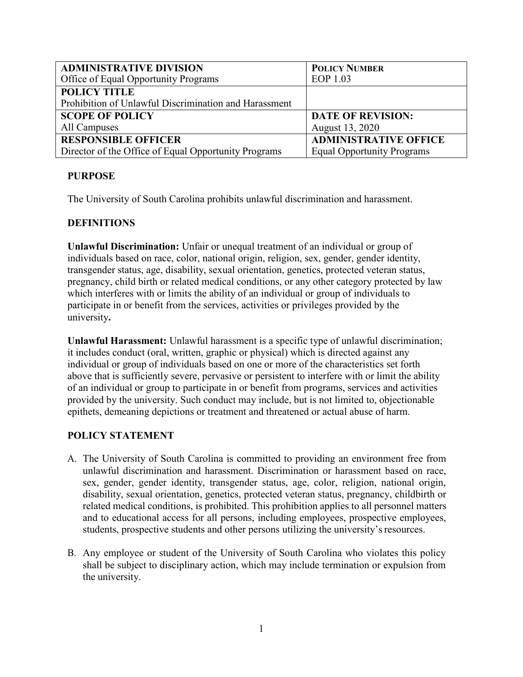| <b>ADMINISTRATIVE DIVISION</b>                        | <b>POLICY NUMBER</b>              |
|-------------------------------------------------------|-----------------------------------|
| Office of Equal Opportunity Programs                  | EOP 1.03                          |
| <b>POLICY TITLE</b>                                   |                                   |
| Prohibition of Unlawful Discrimination and Harassment |                                   |
| <b>SCOPE OF POLICY</b>                                | <b>DATE OF REVISION:</b>          |
| All Campuses                                          | August 13, 2020                   |
| <b>RESPONSIBLE OFFICER</b>                            | <b>ADMINISTRATIVE OFFICE</b>      |
| Director of the Office of Equal Opportunity Programs  | <b>Equal Opportunity Programs</b> |

### **PURPOSE**

The University of South Carolina prohibits unlawful discrimination and harassment.

### **DEFINITIONS**

**Unlawful Discrimination:** Unfair or unequal treatment of an individual or group of individuals based on race, color, national origin, religion, sex, gender, gender identity, transgender status, age, disability, sexual orientation, genetics, protected veteran status, pregnancy, child birth or related medical conditions, or any other category protected by law which interferes with or limits the ability of an individual or group of individuals to participate in or benefit from the services, activities or privileges provided by the university**.**

**Unlawful Harassment:** Unlawful harassment is a specific type of unlawful discrimination; it includes conduct (oral, written, graphic or physical) which is directed against any individual or group of individuals based on one or more of the characteristics set forth above that is sufficiently severe, pervasive or persistent to interfere with or limit the ability of an individual or group to participate in or benefit from programs, services and activities provided by the university. Such conduct may include, but is not limited to, objectionable epithets, demeaning depictions or treatment and threatened or actual abuse of harm.

### **POLICY STATEMENT**

- A. The University of South Carolina is committed to providing an environment free from unlawful discrimination and harassment. Discrimination or harassment based on race, sex, gender, gender identity, transgender status, age, color, religion, national origin, disability, sexual orientation, genetics, protected veteran status, pregnancy, childbirth or related medical conditions, is prohibited. This prohibition applies to all personnel matters and to educational access for all persons, including employees, prospective employees, students, prospective students and other persons utilizing the university's resources.
- B. Any employee or student of the University of South Carolina who violates this policy shall be subject to disciplinary action, which may include termination or expulsion from the university.